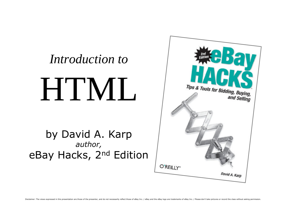

and Selling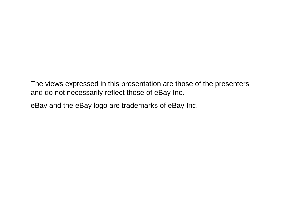The views expressed in this presentation are those of the presenters and do not necessarily reflect those of eBay Inc.

eBay and the eBay logo are trademarks of eBay Inc.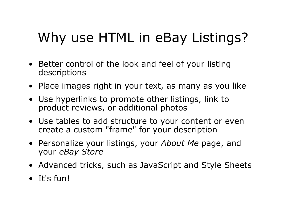#### Why use HTML in eBay Listings?

- Better control of the look and feel of your listing descriptions
- Place images right in your text, as many as you like
- Use hyperlinks to promote other listings, link to product reviews, or additional photos
- Use tables to add structure to your content or even create a custom "frame" for your description
- Personalize your listings, your *About Me* page, and your *eBay Store*
- Advanced tricks, such as JavaScript and Style Sheets
- It's fun!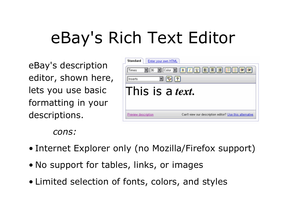# eBay's Rich Text Editor

eBay's description editor, shown here, lets you use basic formatting in your descriptions.

| 36<br>Times     |                  |
|-----------------|------------------|
| Inserts         | 2 <br><b>ABC</b> |
| This is a text. |                  |
|                 |                  |

*cons:*

- Internet Explorer only (no Mozilla/Firefox support)
- No support for tables, links, or images
- Limited selection of fonts, colors, and styles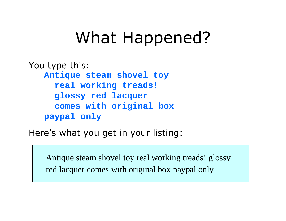### What Happened?

You type this: **Antique steam shovel toy real working treads! glossy red lacquer comes with original box paypal only**

Here's what you get in your listing:

Antique steam shovel toy real working treads! glossy red lacquer comes with original box paypal only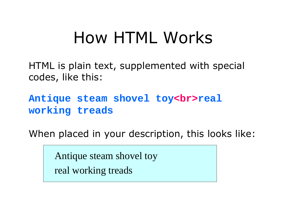### How HTML Works

HTML is plain text, supplemented with special codes, like this:

Antique steam shovel toy<br>real **working treads**

When placed in your description, this looks like:

Antique steam shovel toy real working treads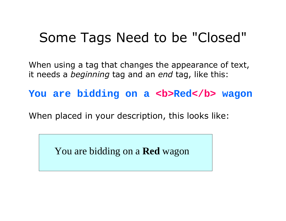#### Some Tags Need to be "Closed"

When using a tag that changes the appearance of text, it needs a *beginning* tag and an *end* tag, like this:

You are bidding on a **<b>Red**</b> wagon

When placed in your description, this looks like:

You are bidding on a **Red** wagon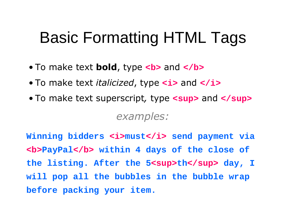### Basic Formatting HTML Tags

- To make text **bold**, type <b> and </b>
- To make text *italicized*, type  $\langle i \rangle$  and  $\langle i \rangle$
- To make text superscript, type  $\leq$  sup and  $\leq$  / sup > *examples:*

**Winning bidders <i>must</i> send payment via <b>PayPal</b> within 4 days of the close of**  the listing. After the 5<sup>th</sup> day, I **will pop all the bubbles in the bubble wrap before packing your item.**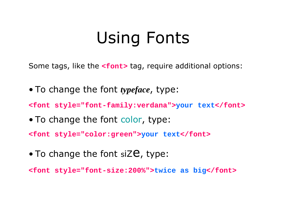## Using Fonts

Some tags, like the **<font>** tag, require additional options:

• To change the font *typeface*, type:

**<font style="font-family:verdana">your text</font>**

• To change the font color, type:

**<font style="color:green">your text</font>**

 $\bullet$  To change the font siZe, type:

**<font style="font-size:200%">twice as big</font>**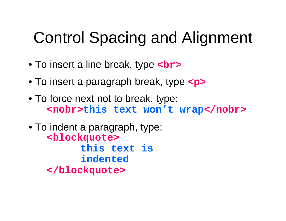### Control Spacing and Alignment

- To insert a line break, type **<br>**
- To insert a paragraph break, type <p>
- To force next not to break, type: **<nobr>this text won't wrap</nobr>**
- To indent a paragraph, type: **<blockquote> this text is indented </blockquote>**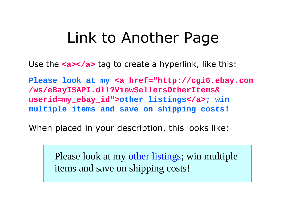#### Link to Another Page

Use the **<a></a>** tag to create a hyperlink, like this:

**Please look at my <a href="http://cgi6.ebay.com /ws/eBayISAPI.dll?ViewSellersOtherItems& userid=my\_ebay\_id">other listings</a>; win multiple items and save on shipping costs!**

When placed in your description, this looks like:

Please look at my other listings; win multiple items and save on shipping costs!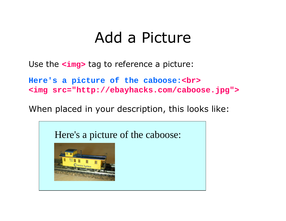#### Add a Picture

Use the **<img>** tag to reference a picture:

**Here's a picture of the caboose:<br> <img src="http://ebayhacks.com/caboose.jpg">**

When placed in your description, this looks like:

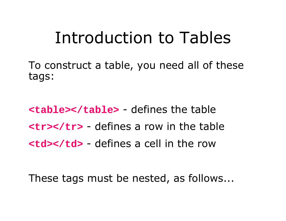### Introduction to Tables

To construct a table, you need all of these tags:

**<table></table>** - defines the table **<tr></tr>** - defines a row in the table **<td></td>** - defines a cell in the row

These tags must be nested, as follows...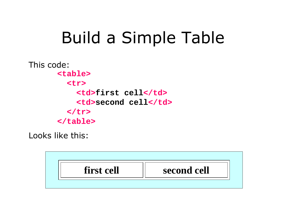## Build a Simple Table

This code: **<table> <tr> <td>first cell</td> <td>second cell</td> </tr> </table>**

Looks like this:

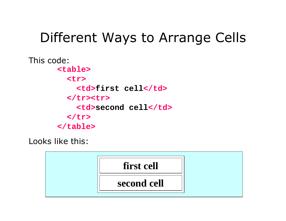#### Different Ways to Arrange Cells

This code: **<table> <tr> <td>first cell</td> </tr><tr> <td>second cell</td> </tr> </table>**

Looks like this:

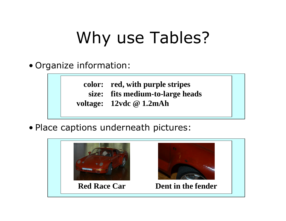# Why use Tables?

• Organize information:

**color: red, with purple stripes size: voltage: fits medium-to-large heads 12vdc @ 1.2mAh**

• Place captions underneath pictures:

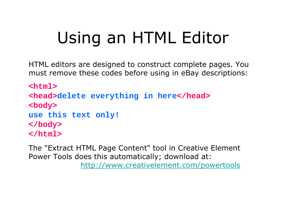# Using an HTML Editor

HTML editors are designed to construct complete pages. You must remove these codes before using in eBay descriptions:

**<html> <head>delete everything in here</head> <body> use this text only! </body> </html>**

The "Extract HTML Page Content" tool in Creative Element Power Tools does this automatically; download at: http://www.creativelement.com/powertools